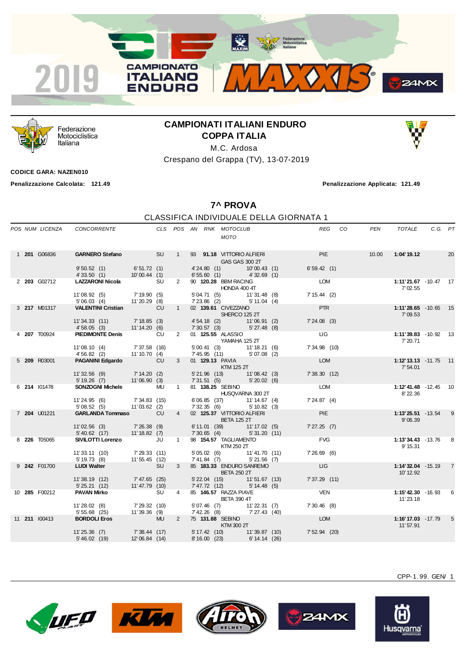



Federazione Motociclistica Italiana

## **CAMPIONATI ITALIANI ENDURO COPPA ITALIA**

M.C. Ardosa

Crespano del Grappa (TV), 13-07-2019

**CODICE GARA: NAZEN010**

**Penalizzazione Calcolata: 121.49 Penalizzazione Applicata: 121.49**

**7^ PROVA**

## CLASSIFICA INDIVIDUALE DELLA GIORNATA 1

|  |               | POS NUM LICENZA CONCORRENTE                             |                                 |           |                |  | CLS POS AN RNK MOTOCLUB<br>MOTO                                    | REG CO            | PEN | TOTALE                                   | C.G. PT |    |
|--|---------------|---------------------------------------------------------|---------------------------------|-----------|----------------|--|--------------------------------------------------------------------|-------------------|-----|------------------------------------------|---------|----|
|  | 1 201 G06836  |                                                         |                                 |           |                |  | GAS GAS 300 2T                                                     | <b>PIE</b>        |     |                                          |         | 20 |
|  |               | $9'50.52$ (1) 6'51.72 (1)<br>4'33.50(1)                 | 10'00.44(1)                     |           |                |  | 4'24.80 (1) 10'00.43 (1)<br>6'55.60 (1) 4'32.69 (1)                | 6'59.42(1)        |     |                                          |         |    |
|  | 2 203 G02712  | <b>LAZZARONI Nicola</b> SU<br>11'08.92 (5) 7'19.90 (5)  |                                 |           |                |  | 2 90 120.28 BBM RACING<br>HONDA 400 4T<br>5'04.71 (5) 11'31.48 (8) | LOM<br>7'15.44(2) |     | 1:11'21.67 -10.47 17<br>7' 02.55         |         |    |
|  |               | $5'06.03(4)$ $11'20.29(8)$                              |                                 |           |                |  | 7'23.86 (2) 5'11.04 (4)                                            |                   |     |                                          |         |    |
|  | 3 217 M01317  | VALENTINI Cristian CU                                   |                                 |           |                |  | 1 02 <b>139.61</b> CIVEZZANO<br>SHERCO 125 2T                      | <b>PTR</b>        |     | 1:11'28.65 -10.65 15<br>7'09.53          |         |    |
|  |               | 11'34.33 (11) 7'18.85 (3)<br>4'58.05 (3) 11'14.20 (6)   |                                 |           |                |  | 4' 54.18 (2) 11' 06.91 (2)<br>7' 30.57 (3) 5' 27.48 (8)            | 7'24.08(3)        |     |                                          |         |    |
|  | 4 207 T00924  | PIEDIMONTE Denis CU                                     |                                 |           |                |  | 2 01 <b>125.55</b> ALASSIO<br>YAMAHA 125 2T                        | <b>LIG</b>        |     | 1:11'39.83 -10.92 13<br>7' 20.71         |         |    |
|  |               | 11'08.10 (4) 7'37.58 (16)<br>4'56.82 (2) 11'10.70 (4)   |                                 |           |                |  | 5' 00.41 (3) 11' 18.21 (6)<br>7' 45.95 (11) 5' 07.08 (2)           | 7' 34.98 (10)     |     |                                          |         |    |
|  | 5 209 R03001  | PAGANINI Edgardo CU                                     |                                 |           |                |  | 3 01 129.13 PAVIA<br>KTM 125 2T                                    | <b>LOM</b>        |     | $1:12'13.13 - 11.75$ 11<br>7'54.01       |         |    |
|  |               | 11'32.56 (9) 7'14.20 (2)<br>5' 19.26 (7) 11' 06.90 (3)  |                                 |           |                |  | 5'21.96 (13) 11'08.42 (3)<br>7' 31.51 (5) 5' 20.02 (6)             | 7'38.30(12)       |     |                                          |         |    |
|  | 6 214 101478  | <b>SONZOGNI Michele</b> MU                              |                                 |           |                |  | 1 81 138.25 SEBINO<br>HUSQVARNA 300 2T                             | LOM               |     | 1:12'41.48 -12.45 10<br>8' 22.36         |         |    |
|  |               | 11'24.95 (6) 7'34.83 (15)<br>5' 08.52 (5) 11' 03.62 (2) |                                 |           |                |  | 6'06.85 (37) 11'14.67 (4)<br>7' 32.35 (6) 5' 10.82 (3)             | 7'24.87(4)        |     |                                          |         |    |
|  | 7 204 U01221  | GARLANDA Tommaso CU                                     |                                 |           |                |  | 4 02 125.37 VITTORIO ALFIERI<br><b>BETA 125 2T</b>                 | <b>PIE</b>        |     | $1:13'25.51 - 13.54$ 9<br>9'06.39        |         |    |
|  |               | 11'02.56 (3) 7'26.38 (9)<br>5' 40.62 (17) 11' 18.82 (7) |                                 |           |                |  | 6' 11.01 (39) 11' 17.02 (5)<br>$7'30.65$ (4) $5'31.20$ (11)        | 7'27.25(7)        |     |                                          |         |    |
|  | 8 226 T05065  | SIVILOTTI Lorenzo JU 1                                  |                                 |           |                |  | 98 154.57 TAGLIAMENTO<br><b>KTM 250 2T</b>                         | <b>EVG</b>        |     | 1:13'34.43 -13.76 8<br>9' 15.31          |         |    |
|  |               | 11'33.11 (10)<br>5' 19.73 (8)                           | 7' 29.33 (11)<br>11' 55.45 (12) |           |                |  | 5' 05.02 (6) 11' 41.70 (11)<br>7' 41.84 (7) 5' 21.56 (7)           | 7'26.69(6)        |     |                                          |         |    |
|  | 9 242 F01700  | <b>LUDI Walter</b>                                      |                                 | <b>SU</b> | 3 <sup>7</sup> |  | 85 183.33 ENDURO SANREMO<br><b>EXAMPLE THE BETA 250 2T</b>         | <b>Example 19</b> |     | <b>1:14'32.04</b> - 15.19 7<br>10' 12.92 |         |    |
|  |               | 11'38.19(12)<br>5' 25.21 (12)                           | 7'47.65 (25)<br>11'47.79 (10)   |           |                |  | 5' 22.04 (15) 11' 51.67 (13)<br>7'47.72 (12) 5'14.48 (5)           | 7'37.29(11)       |     |                                          |         |    |
|  | 10 285 F00212 | PAVAN Mirko                                             |                                 | SU        | $\overline{4}$ |  | 85 146.57 RAZZA PIAVE<br><b>BETA 390 4T</b>                        | <b>VEN</b>        |     | 1:15'42.30 -16.93 6<br>11' 23.18         |         |    |
|  |               | 11'28.02 (8) 7'29.32 (10)<br>5' 55.68 (25)              | 11'39.36 (9)                    |           |                |  | 5'07.46 (7) 11'22.31 (7)<br>7' 42.26 (8) 7' 27.43 (40)             | 7'30.46(8)        |     |                                          |         |    |
|  | 11 211 100413 | <b>BORDOLI Eros</b>                                     | <b>Example 19 MU</b>            |           |                |  | 2 75 131.88 SEBINO<br>KTM 300 2T                                   | <b>LOM</b>        |     | 1:16'17.03 -17.79 5<br>11' 57.91         |         |    |
|  |               | 11'25.36 (7) 7'38.44 (17)<br>5' 46.02(19)               | 12'06.84(14)                    |           |                |  | 5' 17.42 (10) 11' 39.87 (10)<br>8' 16.00 (23) 6' 14.14 (26)        | $7'52.94$ (20)    |     |                                          |         |    |











CPP-1. 99. GEN/ 1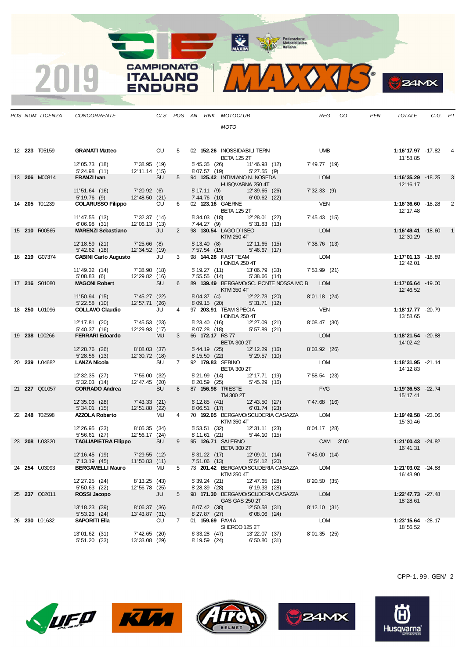MAXIM Pederazione

CAMPIONATO

**ITALIANO** 

**ENDURO** 

2019

MIDOJS

|  | POS NUM LICENZA      | CONCORRENTE                                                  |                                 |           |                |                                | CLS POS AN RNK MOTOCLUB                                                                                                                                                                                                                                   |                                   |                                            |                | REG CO | PEN | TOTALE                         | C.G. PT |   |
|--|----------------------|--------------------------------------------------------------|---------------------------------|-----------|----------------|--------------------------------|-----------------------------------------------------------------------------------------------------------------------------------------------------------------------------------------------------------------------------------------------------------|-----------------------------------|--------------------------------------------|----------------|--------|-----|--------------------------------|---------|---|
|  |                      |                                                              |                                 |           |                |                                | <b>MOTO</b>                                                                                                                                                                                                                                               |                                   |                                            |                |        |     |                                |         |   |
|  |                      |                                                              |                                 |           |                |                                |                                                                                                                                                                                                                                                           |                                   |                                            |                |        |     |                                |         |   |
|  | 12 <b>223</b> T05159 | <b>GRANATI Matteo</b>                                        |                                 | <b>CU</b> | $5 -$          |                                | 02 152.26 INOSSIDABILI TERNI<br><b>BETA 125 2T</b>                                                                                                                                                                                                        |                                   |                                            | <b>UMB</b>     |        |     | 1:16'17.97 -17.82<br>11'58.85  |         | 4 |
|  |                      | 12'05.73 (18)<br>5'24.98 (11)                                | 7' 38.95 (19)<br>12' 11.14 (15) |           |                |                                | 8'07.57 (19) 5'27.55 (9)                                                                                                                                                                                                                                  |                                   | 5' 45.35 (26) 11' 46.93 (12)               | 7' 49.77 (19)  |        |     |                                |         |   |
|  | 13 206 M00814        | FRANZI Ivan                                                  |                                 | <b>SU</b> | $5^{\circ}$    |                                | 94 125.42 INTIMIANO N. NOSEDA<br>HUSQVARNA 250 4T                                                                                                                                                                                                         |                                   |                                            | <b>LOM</b>     |        |     | 1:16'35.29 -18.25<br>12' 16.17 |         | 3 |
|  |                      | 11'51.64 (16) 7'20.92 (6)<br>5' 19.76 (9) 12' 48.50 (21)     |                                 |           |                |                                | 5' 17.11 (9) 12' 39.65 (26)<br>7' 44.76 (10) 6' 00.62 (22)                                                                                                                                                                                                |                                   |                                            | 7'32.33(9)     |        |     |                                |         |   |
|  | 14 205 T01239        | <b>COLARUSSO Filippo</b>                                     |                                 | <b>CU</b> | $6 -$          |                                | 02 123.16 GAERNE<br>BETA 125 2T                                                                                                                                                                                                                           |                                   |                                            | <b>VEN</b>     |        |     | 1:16'36.60 -18.28<br>12' 17.48 |         | 2 |
|  |                      | 11' 47.55 (13) 7' 32.37 (14)<br>6' 06.98 (31) 12' 06.13 (13) |                                 |           |                |                                | 5' 34.03 (18) 12' 28.01 (22)<br>7' 44.27 (9) 5' 31.83 (13)                                                                                                                                                                                                |                                   |                                            | 7' 45.43 (15)  |        |     |                                |         |   |
|  | 15 210 R00565        | MARENZI Sebastiano JU                                        |                                 |           | $2^{\circ}$    |                                | 98 130.54 LAGO D'ISEO<br>$\blacksquare$ $\blacksquare$ $\blacksquare$ $\blacksquare$ $\blacksquare$ $\blacksquare$ $\blacksquare$ $\blacksquare$ $\blacksquare$ $\blacksquare$ $\blacksquare$ $\blacksquare$ $\blacksquare$ $\blacksquare$ $\blacksquare$ |                                   |                                            | LOM            |        |     | 1:16'49.41 -18.60<br>12' 30.29 |         | 1 |
|  |                      | 12' 18.59 (21)<br>5' 42.62 (18)                              | 7'25.66 (8)<br>12' 34.52 (19)   |           |                |                                | 5' 13.40 (8) 12' 11.65 (15)<br>7' 57.54 (15) 5' 46.67 (17)                                                                                                                                                                                                |                                   |                                            | 7'38.76(13)    |        |     |                                |         |   |
|  | 16 <b>219</b> G07374 | <b>CABINI Carlo Augusto</b> JU                               |                                 |           | $3^{\circ}$    |                                | 98 <b>144.28</b> FAST TEAM<br>HONDA 250 4T                                                                                                                                                                                                                |                                   |                                            | <b>LOM</b>     |        |     | 1:17'01.13 -18.89<br>12' 42.01 |         |   |
|  |                      | 11' 49.32 (14) 7' 38.90 (18)<br>5' 08.83 (6) 12' 29.82 (16)  |                                 |           |                |                                | 5' 19.27 (11) 13' 06.79 (33)<br>7' 55.55 (14) 5' 38.66 (14)                                                                                                                                                                                               |                                   |                                            | $7'53.99$ (21) |        |     |                                |         |   |
|  | 17 216 S01080        | MAGONI Robert                                                |                                 | <b>SU</b> | 6              |                                | $\blacksquare$ $\blacksquare$ $\blacksquare$ $\blacksquare$ $\blacksquare$ $\blacksquare$ $\blacksquare$ $\blacksquare$ $\blacksquare$ $\blacksquare$ $\blacksquare$ $\blacksquare$ $\blacksquare$ $\blacksquare$ $\blacksquare$                          |                                   | 89 139.49 BERGAMO/SC. PONTE NOSSA MC B LOM |                |        |     | 1:17'05.64 -19.00<br>12' 46.52 |         |   |
|  |                      | 11'50.94 (15) 7'45.27 (22)<br>5'22.58 (10) 12'57.71 (26)     |                                 |           |                |                                | 5' 04.37 (4) 12' 22.73 (20)<br>8' 09.15 (20) 5' 31.71 (12)                                                                                                                                                                                                |                                   |                                            | 8'01.18 (24)   |        |     |                                |         |   |
|  | 18 <b>250</b> U01096 | <b>COLLAVO Claudio</b> JU                                    |                                 |           | $4 \quad$      |                                | 97 203.91 TEAM SPECIA<br>HONDA 250 4T                                                                                                                                                                                                                     |                                   |                                            | <b>VEN</b>     |        |     | 1:18'17.77 -20.79<br>13'58.65  |         |   |
|  |                      | 12' 17.81 (20) 7' 45.53 (23)<br>5' 40.37 (16) 12' 29.93 (17) |                                 |           |                |                                | 5' 23.40 (16)    12' 27.09 (21)<br>8' 07.28 (18)    5' 57.89 (21)                                                                                                                                                                                         |                                   |                                            | 8'08.47 (30)   |        |     |                                |         |   |
|  | 19 238 L00266        | <b>FERRARI Edoardo</b>                                       |                                 | <b>MU</b> | $3^{\circ}$    |                                | 66 172.17 RS 77<br><b>BETA 300 2T</b>                                                                                                                                                                                                                     |                                   |                                            | LOM            |        |     | 1:18'21.54 -20.88<br>14' 02.42 |         |   |
|  |                      | 12' 28.76 (26)                                               | 8'08.03 (37)                    |           |                |                                | 5' 44.19 (25) 12' 12.29 (16)<br>8' 15.50 (22) 5' 29.57 (10)                                                                                                                                                                                               |                                   |                                            | 8'03.92 (26)   |        |     |                                |         |   |
|  | 20 239 U04682        | 5'28.56(13)<br><b>LANZA Nicola</b>                           | 12' 30.72 (18)                  | <b>SU</b> | $7^{\circ}$    |                                | 92 179.83 SEBINO                                                                                                                                                                                                                                          |                                   |                                            | LOM            |        |     | 1:18'31.95 -21.14              |         |   |
|  |                      |                                                              |                                 |           |                |                                | <b>BETA 300 2T</b>                                                                                                                                                                                                                                        |                                   |                                            |                |        |     | 14' 12.83                      |         |   |
|  |                      | 12' 32.35 (27)<br>5'32.03(14)                                | 7'56.00 (32)<br>12'47.45 (20)   |           |                | 8'20.59 (25)                   | 5' 21.99 (14) 12' 17.71 (19)                                                                                                                                                                                                                              | 5'45.29(16)                       |                                            | 7'58.54(23)    |        |     |                                |         |   |
|  | 21 227 Q01057        | <b>CORRADO Andrea</b> SU                                     |                                 |           | 8              |                                | 87 156.98 TRIESTE<br>$TM$ 300 2T                                                                                                                                                                                                                          |                                   |                                            | <b>FVG</b>     |        |     | 1:19'36.53 -22.74<br>15' 17.41 |         |   |
|  |                      | 12'35.03 (28) 7'43.33 (21)<br>5' 34.01 (15) 12' 51.88 (22)   |                                 |           |                |                                | 6' 12.85 (41) 12' 43.50 (27)<br>8'06.51 (17)                                                                                                                                                                                                              | 6'01.74(23)                       |                                            | 7'47.68 (16)   |        |     |                                |         |   |
|  | 22 248 T02598        | <b>AZZOLA Roberto</b>                                        |                                 | <b>MU</b> | $\overline{4}$ |                                | <b>KTM 350 4T</b>                                                                                                                                                                                                                                         |                                   | 70 192.05 BERGAMO/SCUDERIA CASAZZA LOM     |                |        |     | 1:19'49.58 -23.06<br>15' 30.46 |         |   |
|  |                      | 12' 26.95 (23)<br>5' 56.61 (27)                              | 8' 05.35 (34)<br>12' 56.17 (24) |           |                |                                | 5' 53.51 (32) 12' 31.11 (23)<br>8' 11.61 (21) 5' 44.10 (15)                                                                                                                                                                                               |                                   |                                            | 8'04.17 (28)   |        |     |                                |         |   |
|  | 23 <b>208</b> U03320 | <b>TAGLIAPIETRA Filippo SU</b>                               |                                 |           | 9              |                                | 95 126.71 SALERNO<br><b>BETA 300 2T</b>                                                                                                                                                                                                                   |                                   |                                            | CAM 3'00       |        |     | 1:21'00.43 -24.82<br>16' 41.31 |         |   |
|  |                      | 12' 16.45 (19)                                               | 7'29.55 (12)                    |           |                |                                | 5' 31.22 (17) 12' 09.01 (14)                                                                                                                                                                                                                              | 5'54.12(20)                       |                                            | 7'45.00(14)    |        |     |                                |         |   |
|  | 24 <b>254</b> U03093 | 7' 13.19 (45)<br><b>BERGAMELLI Mauro</b>                     | 11'50.83(11)                    | <b>MU</b> | 5              |                                | 7'51.06 (13)                                                                                                                                                                                                                                              |                                   | 73 201.42 BERGAMO/SCUDERIA CASAZZA         | <b>LOM</b>     |        |     | $1:21'03.02 - 24.88$           |         |   |
|  |                      | 12' 27.25 (24)                                               | 8' 13.25 (43)<br>12' 56.78 (25) |           |                | $5'39.24$ (21)<br>8'28.39 (28) | KTM 250 4T                                                                                                                                                                                                                                                | 12' 47.65 (28)<br>$6' 19.33$ (28) |                                            | 8'20.50 (35)   |        |     | 16' 43.90                      |         |   |
|  | 25 237 Q02011        | 5' 50.63 (22)<br>ROSSI Jacopo                                |                                 | JU        | 5              |                                | GAS GAS 250 2T                                                                                                                                                                                                                                            |                                   | 98 171.30 BERGAMO/SCUDERIA CASAZZA         | <b>LOM</b>     |        |     | 1:22' 47.73 - 27.48            |         |   |
|  |                      | 13' 18.23 (39)<br>$5' 53.23$ (24)                            | 8'06.37 (36)<br>13' 43.87 (31)  |           |                | $6'07.42$ (38)<br>8'27.87 (27) |                                                                                                                                                                                                                                                           | 12' 50.58 (31)<br>$6'08.06$ (24)  |                                            | 8' 12.10 (31)  |        |     | 18' 28.61                      |         |   |
|  | 26 230 L01632        | <b>SAPORITI Elia</b>                                         |                                 | CU        | $7^{\circ}$    |                                | 01 159.69 PAVIA                                                                                                                                                                                                                                           |                                   |                                            | <b>LOM</b>     |        |     | 1:23' 15.64 - 28.17            |         |   |
|  |                      | 13'01.62 (31)<br>5'51.20(23)                                 | 7' 42.65 (20)<br>13'33.08 (29)  |           |                | 6'33.28(47)<br>8' 19.59 (24)   | SHERCO 125 2T                                                                                                                                                                                                                                             | 13' 22.07 (37)<br>6'50.80(31)     |                                            | 8'01.35 (25)   |        |     | 18' 56.52                      |         |   |
|  |                      |                                                              |                                 |           |                |                                |                                                                                                                                                                                                                                                           |                                   |                                            |                |        |     |                                |         |   |









CPP-1.99. GEN/2

**B**Z4MX

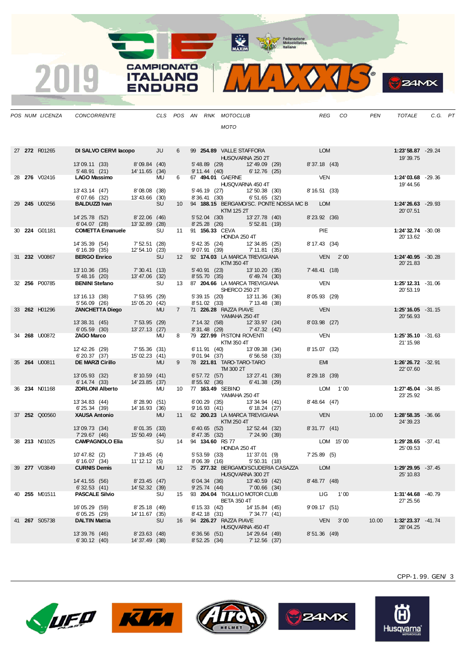MAXIM REPORT Federazione

**CAMPIONATO** 2019 **ITALIANO ENDURO** 

|--|

|  | POS NUM LICENZA      | CONCORRENTE                                                  |                                                                                                           |           |    |                              | CLS POS AN RNK MOTOCLUB                                                                                                                                                                                                                                                                                                                                                                                                                                                                                                        |                                  |                                               |               | REG CO    | PEN   | TOTALE                          | C.G. PT |  |
|--|----------------------|--------------------------------------------------------------|-----------------------------------------------------------------------------------------------------------|-----------|----|------------------------------|--------------------------------------------------------------------------------------------------------------------------------------------------------------------------------------------------------------------------------------------------------------------------------------------------------------------------------------------------------------------------------------------------------------------------------------------------------------------------------------------------------------------------------|----------------------------------|-----------------------------------------------|---------------|-----------|-------|---------------------------------|---------|--|
|  |                      |                                                              |                                                                                                           |           |    |                              | <b>MOTO</b>                                                                                                                                                                                                                                                                                                                                                                                                                                                                                                                    |                                  |                                               |               |           |       |                                 |         |  |
|  |                      |                                                              |                                                                                                           |           |    |                              |                                                                                                                                                                                                                                                                                                                                                                                                                                                                                                                                |                                  |                                               |               |           |       |                                 |         |  |
|  | 27 272 R01265        | DI SALVO CERVI lacopo JU                                     |                                                                                                           |           | 6  |                              | HUSQVARNA 250 2T                                                                                                                                                                                                                                                                                                                                                                                                                                                                                                               |                                  | 99 254.89 VALLE STAFFORA LOM                  |               |           |       | 1:23'58.87 -29.24<br>19'39.75   |         |  |
|  |                      | 13'09.11 (33) 8'09.84 (40)<br>5' 48.91 (21) 14' 11.65 (34)   |                                                                                                           |           |    |                              | 5'48.89 (29) 12'49.09 (29)<br>9' 11.44 (40) 6' 12.76 (25)                                                                                                                                                                                                                                                                                                                                                                                                                                                                      |                                  |                                               | 8'37.18 (43)  |           |       |                                 |         |  |
|  | 28 276 V02416        | LAGO Massimo MU                                              |                                                                                                           |           | 6  |                              | 67 494.01 GAERNE<br>HUSQVARNA 450 4T                                                                                                                                                                                                                                                                                                                                                                                                                                                                                           |                                  |                                               | <b>VEN</b>    |           |       | 1:24'03.68 -29.36<br>19' 44.56  |         |  |
|  |                      | 13' 43.14 (47) 8' 08.08 (38)                                 |                                                                                                           |           |    |                              | 5' 46.19 (27) 12' 50.38 (30)<br>8' 36.41 (30) 6' 51.65 (32)                                                                                                                                                                                                                                                                                                                                                                                                                                                                    |                                  |                                               | 8' 16.51 (33) |           |       |                                 |         |  |
|  | 29 245 U00256        | 6'07.66 (32) 13'43.66 (30)<br><b>BALDUZZI Ivan</b> SU        |                                                                                                           |           |    |                              | KTM 125 2T                                                                                                                                                                                                                                                                                                                                                                                                                                                                                                                     |                                  | 10 94 188.15 BERGAMO/SC. PONTE NOSSA MC B LOM |               |           |       | 1:24'26.63 -29.93<br>20'07.51   |         |  |
|  |                      | 14' 25.78 (52) 8' 22.06 (46)<br>6' 04.07 (28) 13' 32.89 (28) |                                                                                                           |           |    |                              | 5' 52.04 (30) 13' 27.78 (40)<br>8' 25.28 (26) 5' 52.81 (19)                                                                                                                                                                                                                                                                                                                                                                                                                                                                    |                                  |                                               | 8'23.92 (36)  |           |       |                                 |         |  |
|  | 30 224 G01181        | <b>COMETTA Emanuele</b> SU                                   |                                                                                                           |           |    |                              | 11 91 156.33 CEVA<br>HONDA 250 4T                                                                                                                                                                                                                                                                                                                                                                                                                                                                                              |                                  |                                               | <b>PIE</b>    |           |       | 1:24'32.74 -30.08<br>20' 13.62  |         |  |
|  |                      | 14' 35.39 (54)<br>6' 16.39 (35) 12' 54.10 (23)               | 7' 52.51 (28)                                                                                             |           |    |                              | 5' 42.35 (24) 12' 34.85 (25)<br>9'07.91 (39) 7'11.81 (35)                                                                                                                                                                                                                                                                                                                                                                                                                                                                      |                                  |                                               | 8' 17.43 (34) |           |       |                                 |         |  |
|  | 31 232 V00867        | <b>BERGO Enrico</b>                                          | <b>SURFACE SURFACE SURFACE SURFACE SURFACE SURFACE SURFACE SURFACE SURFACE SURFACE SURFACE SURFACE SU</b> |           |    |                              | 12 92 174.03 LA MARCA TREVIGIANA<br>$\blacksquare$ $\blacksquare$ $\blacksquare$ $\blacksquare$ $\blacksquare$ $\blacksquare$ $\blacksquare$ $\blacksquare$ $\blacksquare$ $\blacksquare$ $\blacksquare$ $\blacksquare$ $\blacksquare$ $\blacksquare$ $\blacksquare$                                                                                                                                                                                                                                                           |                                  |                                               | $VEN$ 2'00    |           |       | 1:24'40.95 -30.28<br>20'21.83   |         |  |
|  |                      | 13' 10.36 (35) 7' 30.41 (13)<br>5' 48.16 (20) 13' 47.06 (32) |                                                                                                           |           |    |                              | 5' 40.91 (23) 13' 10.20 (35)<br>8' 55.70 (35) 6' 49.74 (30)                                                                                                                                                                                                                                                                                                                                                                                                                                                                    |                                  |                                               | 7'48.41(18)   |           |       |                                 |         |  |
|  | 32 <b>256</b> P00785 | BENINI Stefano SU                                            |                                                                                                           |           |    |                              | 13 87 204.66 LA MARCA TREVIGIANA<br>SHERCO 250 2T                                                                                                                                                                                                                                                                                                                                                                                                                                                                              |                                  |                                               | <b>VEN</b>    |           |       | 1:25'12.31 -31.06<br>20' 53.19  |         |  |
|  |                      | 13'16.13 (38)<br>5' 56.09 (26)                               | 7' 53.95 (29)<br>15'05.20 (42)                                                                            |           |    |                              | 5' 39.15 (20) 13' 11.36 (36)<br>$8'51.02$ (33) $7'13.48$ (38)                                                                                                                                                                                                                                                                                                                                                                                                                                                                  |                                  |                                               | 8'05.93 (29)  |           |       |                                 |         |  |
|  | 33 262 H01296        | <b>ZANCHETTA Diego MU</b>                                    |                                                                                                           |           |    |                              | 7 71 226.28 RAZZA PIAVE<br>YAMAHA 250 4T                                                                                                                                                                                                                                                                                                                                                                                                                                                                                       |                                  |                                               | <b>VEN</b>    |           |       | 1:25' 16.05 - 31.15<br>20'56.93 |         |  |
|  |                      | 13' 38.31 (45)<br>6' 05.59 (30) 13' 27.13 (27)               | 7' 53.95 (29)                                                                                             |           |    |                              | 7' 14.32 (58) 12' 33.97 (24)<br>8' 31.48 (29) 7' 47.32 (42)                                                                                                                                                                                                                                                                                                                                                                                                                                                                    |                                  |                                               | 8'03.98 (27)  |           |       |                                 |         |  |
|  | 34 268 U00872        | <b>ZAGO Marco</b>                                            |                                                                                                           | <b>MU</b> |    |                              | 8 79 227.99 PISTON ROVENTI<br>KTM 350 4T                                                                                                                                                                                                                                                                                                                                                                                                                                                                                       |                                  |                                               | <b>VEN</b>    |           |       | 1:25'35.10 -31.63<br>21' 15.98  |         |  |
|  |                      | 12' 42.26 (29) 7' 55.36 (31)<br>6' 20.37 (37) 15' 02.23 (41) |                                                                                                           |           |    |                              | 6' 11.91 (40) 13' 09.38 (34)<br>9' 01.94 (37) 6' 56.58 (33)                                                                                                                                                                                                                                                                                                                                                                                                                                                                    |                                  |                                               | 8' 15.07 (32) |           |       |                                 |         |  |
|  | 35 264 U00811        | DE MARZI Cirillo                                             |                                                                                                           | <b>MU</b> | 9  |                              | 78 221.81 TARO-TARO-TARO<br>TM 300 2T                                                                                                                                                                                                                                                                                                                                                                                                                                                                                          |                                  |                                               | <b>EMI</b>    |           |       | 1:26'26.72 -32.91<br>22'07.60   |         |  |
|  |                      | 13'05.93 (32) 8'10.59 (41)<br>6' 14.74 (33) 14' 23.85 (37)   |                                                                                                           |           |    |                              | 6' 57.72 (57) 13' 27.41 (39)<br>8' 55.92 (36) 6' 41.38 (29)                                                                                                                                                                                                                                                                                                                                                                                                                                                                    |                                  |                                               | 8'29.18 (39)  |           |       |                                 |         |  |
|  | 36 234 N01168        | ZORLONI Alberto MU                                           |                                                                                                           |           |    |                              | 10 77 163.49 SEBINO<br>YAMAHA 250 4T                                                                                                                                                                                                                                                                                                                                                                                                                                                                                           |                                  |                                               |               | LOM 1'00  |       | 1:27'45.04 -34.85<br>23' 25.92  |         |  |
|  |                      | 13'34.83 (44) 8'28.90 (51)<br>6' 25.34 (39) 14' 16.93 (36)   |                                                                                                           |           |    |                              | 6'00.29 (35) 13'34.94 (41)<br>9' 16.93 (41) 6' 18.24 (27)                                                                                                                                                                                                                                                                                                                                                                                                                                                                      |                                  |                                               | 8' 48.64 (47) |           |       |                                 |         |  |
|  | 37 252 Q00560        | <b>XAUSA Antonio</b>                                         |                                                                                                           | <b>MU</b> |    |                              | 11 62 200.23 LA MARCA TREVIGIANA<br>$\blacksquare$ $\blacksquare$ $\blacksquare$ $\blacksquare$ $\blacksquare$ $\blacksquare$ $\blacksquare$ $\blacksquare$ $\blacksquare$ $\blacksquare$ $\blacksquare$ $\blacksquare$ $\blacksquare$ $\blacksquare$ $\blacksquare$ $\blacksquare$ $\blacksquare$ $\blacksquare$ $\blacksquare$ $\blacksquare$ $\blacksquare$ $\blacksquare$ $\blacksquare$ $\blacksquare$ $\blacksquare$ $\blacksquare$ $\blacksquare$ $\blacksquare$ $\blacksquare$ $\blacksquare$ $\blacksquare$ $\blacks$ |                                  |                                               | <b>VEN</b>    |           |       | 24' 39.23                       |         |  |
|  |                      | 13'09.73 (34) 8'01.35 (33)<br>7'29.67 (46) 15'50.49 (44)     |                                                                                                           |           |    |                              | 6' 40.65 (52) 12' 52.44 (32)<br>8' 47.35 (32) 7' 24.90 (39)                                                                                                                                                                                                                                                                                                                                                                                                                                                                    |                                  |                                               | 8'31.77(41)   |           |       |                                 |         |  |
|  | 38 <b>213</b> N01025 | <b>CAMPAGNOLO Elia</b> SU                                    |                                                                                                           |           |    |                              | 14 94 134.60 RS 77<br><b>HONDA 250 4T</b>                                                                                                                                                                                                                                                                                                                                                                                                                                                                                      |                                  |                                               |               | LOM 15'00 |       | 1:29'28.65 -37.41<br>25'09.53   |         |  |
|  |                      | 10'47.82 (2)<br>6' 16.07 (34)                                | 7' 19.45 (4)<br>11' 12.12 (5)                                                                             |           |    |                              | 5' 53.59 (33) 11' 37.01 (9)<br>8'06.39 (16)<br>the control of the control of                                                                                                                                                                                                                                                                                                                                                                                                                                                   | 5' 50.31 (18)                    |                                               | 7'25.89(5)    |           |       |                                 |         |  |
|  | 39 277 V03849        | <b>CURNIS Demis</b>                                          |                                                                                                           | MU        |    |                              | HUSQVARNA 300 2T                                                                                                                                                                                                                                                                                                                                                                                                                                                                                                               |                                  | 12 75 277.32 BERGAMO/SCUDERIA CASAZZA         | LOM           |           |       | 1:29'29.95 -37.45<br>25' 10.83  |         |  |
|  |                      | 14' 41.55 (56)<br>6'32.53(41)                                | 8'23.45 (47)<br>14' 52.32 (39)                                                                            |           |    | 6'04.34 (36)<br>9'25.74(44)  |                                                                                                                                                                                                                                                                                                                                                                                                                                                                                                                                | 13'40.59 (42)<br>7'00.66 (34)    |                                               | 8' 48.77 (48) |           |       |                                 |         |  |
|  | 40 255 M01511        | <b>PASCALE Silvio</b>                                        |                                                                                                           | SU        | 15 |                              | 93 204.04 TIGULLIO MOTOR CLUB<br><b>BETA 350 4T</b>                                                                                                                                                                                                                                                                                                                                                                                                                                                                            |                                  |                                               |               | LIG 1'00  |       | 1:31'44.68 -40.79<br>27' 25.56  |         |  |
|  |                      | 16'05.29 (59)<br>6'05.25(29)                                 | 8'25.18(49)<br>14' 11.67 (35)                                                                             |           |    | 6' 15.33 (42)                | 8' 42.18 (31) 7' 34.77 (41)                                                                                                                                                                                                                                                                                                                                                                                                                                                                                                    | 14' 15.84 (45)                   |                                               | 9'09.17(51)   |           |       |                                 |         |  |
|  | 41 267 S05738        | <b>DALTIN Mattia</b>                                         |                                                                                                           | SU        |    |                              | 16 94 226.27 RAZZA PIAVE<br>HUSQVARNA 450 4T                                                                                                                                                                                                                                                                                                                                                                                                                                                                                   |                                  |                                               | VEN 3'00      |           | 10.00 | 1:32'23.37 -41.74<br>28'04.25   |         |  |
|  |                      | 13'39.76 (46)<br>6'30.12(40)                                 | 8'23.63 (48)<br>14' 37.49 (38)                                                                            |           |    | 6'36.56(51)<br>8' 52.25 (34) |                                                                                                                                                                                                                                                                                                                                                                                                                                                                                                                                | 14'29.64 (49)<br>$7' 12.56$ (37) |                                               | 8'51.36 (49)  |           |       |                                 |         |  |









CPP-1. 99. GEN/ 3

**B**Z4MX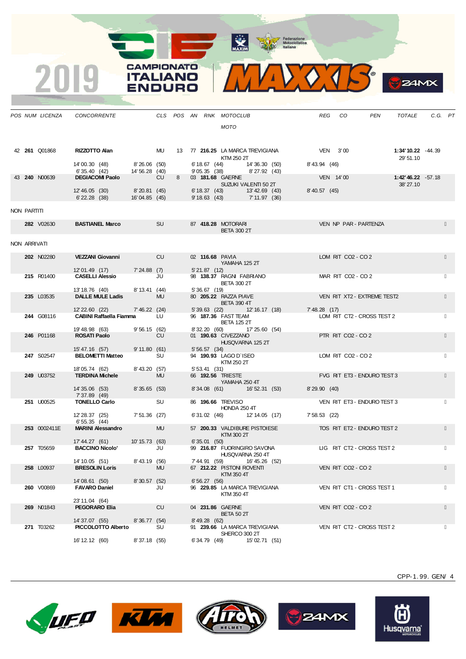MAXIM Representation

MAXXIB

**B**Z4MX

**CAMPIONATO** 

**ITALIANO** 

**ENDURO** 

2019

|              | POS NUM LICENZA | <b>CONCORRENTE</b>                        |                |           |   |                                  | CLS POS AN RNK MOTOCLUB                            |                              |               | REG CO                                    | PEN                         | TOTALE                         | $C.G.$ $PT$ |  |
|--------------|-----------------|-------------------------------------------|----------------|-----------|---|----------------------------------|----------------------------------------------------|------------------------------|---------------|-------------------------------------------|-----------------------------|--------------------------------|-------------|--|
|              |                 |                                           |                |           |   |                                  | <b>MOTO</b>                                        |                              |               |                                           |                             |                                |             |  |
|              |                 |                                           |                |           |   |                                  |                                                    |                              |               |                                           |                             |                                |             |  |
|              |                 |                                           |                |           |   |                                  |                                                    |                              |               |                                           |                             |                                |             |  |
|              | 42 261 Q01868   | RIZZOTTO Alan                             |                |           |   |                                  | MU 13 77 216.25 LA MARCA TREVIGIANA<br>KTM 250 2T  |                              | $VEN$ 3'00    |                                           |                             | 1:34'10.22 -44.39<br>29' 51.10 |             |  |
|              |                 | 14'00.30 (48)                             | 8'26.06(50)    |           |   |                                  | $6'18.67$ (44) $14'36.30$ (50)                     |                              | 8' 43.94 (46) |                                           |                             |                                |             |  |
|              | 43 240 N00639   | 6' 35.40 (42)<br><b>DEGIACOMI Paolo</b>   | 14' 56.28 (40) | <b>CU</b> | 8 | 03 181.68 GAERNE                 | $9'05.35$ (38) $8'27.92$ (43)                      |                              |               | VEN 14'00                                 |                             | 1:42'46.22 -57.18              |             |  |
|              |                 |                                           |                |           |   |                                  | SUZUKI VALENTI 50 2T                               |                              |               |                                           |                             | 38' 27.10                      |             |  |
|              |                 | 12' 46.05 (30)                            | 8'20.81 (45)   |           |   |                                  | 6' 18.37 (43) 13' 42.69 (43)                       |                              | 8' 40.57 (45) |                                           |                             |                                |             |  |
|              |                 | $6'$ 22.28 $(38)$                         | 16'04.85 (45)  |           |   |                                  | 9' 18.63 (43) 7' 11.97 (36)                        |                              |               |                                           |                             |                                |             |  |
| NON PARTITI  |                 |                                           |                |           |   |                                  |                                                    |                              |               |                                           |                             |                                |             |  |
|              | 282 V02630      | <b>BASTIANEL Marco</b>                    |                | <b>SU</b> |   |                                  | 87 418.28 MOTORARI                                 |                              |               |                                           | VEN NP PAR - PARTENZA       |                                |             |  |
|              |                 |                                           |                |           |   |                                  | <b>BETA 300 2T</b>                                 |                              |               |                                           |                             |                                |             |  |
| NON ARRIVATI |                 |                                           |                |           |   |                                  |                                                    |                              |               |                                           |                             |                                |             |  |
|              |                 |                                           |                |           |   |                                  |                                                    |                              |               |                                           |                             |                                |             |  |
|              | 202 N02280      | VEZZANI Giovanni CU                       |                |           |   |                                  | 02 116.68 PAVIA<br>YAMAHA 125 2T                   |                              |               | LOM RIT CO <sub>2</sub> - CO <sub>2</sub> |                             |                                |             |  |
|              |                 | 12'01.49 (17) 7'24.88 (7)                 |                |           |   | 5'21.87(12)                      |                                                    |                              |               |                                           |                             |                                |             |  |
|              | 215 R01400      | <b>CASELLI Alessio</b>                    |                | JU        |   |                                  | 98 138.37 RAGNI FABRIANO                           |                              |               | MAR RIT CO2 - CO 2                        |                             |                                |             |  |
|              |                 | 13' 18.76 (40) 8' 13.41 (44)              |                |           |   | 5'36.67(19)                      | <b>BETA 300 2T</b>                                 |                              |               |                                           |                             |                                |             |  |
|              | 235 L03535      | <b>DALLE MULE Ladis</b>                   |                | <b>MU</b> |   |                                  | 5 30.07 (10)<br>80 <b>205.22</b> RAZZA PIAVE       |                              |               |                                           | VEN RIT XT2 - EXTREME TEST2 |                                |             |  |
|              |                 | 12'22.60 (22) 7'46.22 (24)                |                |           |   |                                  | <b>BETA 390 4T</b><br>5' 39.63 (22) 12' 16.17 (18) |                              | 7' 48.28 (17) |                                           |                             |                                |             |  |
|              | 244 G08116      | CABINI Raffaella Fiamma                   |                | LU        |   |                                  | 96 187.36 FAST TEAM                                |                              |               |                                           | LOM RIT CT2 - CROSS TEST 2  |                                |             |  |
|              |                 | 19' 48.98 (63)                            | 9'56.15(62)    |           |   | 8' 32.20 (60)                    | <b>BETA 125 2T</b>                                 | 17'25.60 (54)                |               |                                           |                             |                                |             |  |
|              | 246 P01168      | <b>ROSATI Paolo</b>                       |                | <b>CU</b> |   |                                  | 01 190.63 CIVEZZANO                                |                              |               | PTR RIT CO2 - CO 2                        |                             |                                |             |  |
|              |                 |                                           | 9'11.80(61)    |           |   |                                  | HUSQVARNA 125 2T                                   |                              |               |                                           |                             |                                |             |  |
|              | 247 S02547      | 15' 47.16 (57)<br><b>BELOMETTI Matteo</b> |                | SU        |   | 5' 56.57 (34)                    | 94 190.93 LAGO D`ISEO                              |                              |               | LOM RIT CO2 - CO 2                        |                             |                                |             |  |
|              |                 |                                           |                |           |   |                                  | KTM 250 2T                                         |                              |               |                                           |                             |                                |             |  |
|              | 249 U03752      | 18'05.74 (62)<br><b>TERDINA Michele</b>   | 8'43.20 (57)   | <b>MU</b> |   | 5'53.41(31)<br>66 192.56 TRIESTE |                                                    |                              |               |                                           | FVG RIT ET3 - ENDURO TEST 3 |                                |             |  |
|              |                 |                                           |                |           |   |                                  | YAMAHA 250 4T                                      |                              |               |                                           |                             |                                |             |  |
|              |                 | 14' 35.06 (53)<br>7' 37.89 (49)           | 8'35.65(53)    |           |   |                                  |                                                    | 8'34.08 (61) 16'52.31 (53)   | 8'29.90(40)   |                                           |                             |                                |             |  |
|              | 251 U00525      | <b>TONELLO Carlo</b>                      |                | SU        |   | 86 196.66 TREVISO                |                                                    |                              |               |                                           | VEN RIT ET3 - ENDURO TEST 3 |                                |             |  |
|              |                 | 12' 28.37 (25)                            | 7' 51.36 (27)  |           |   |                                  | HONDA 250 4T                                       | 6' 31.02 (46) 12' 14.05 (17) | 7' 58.53 (22) |                                           |                             |                                |             |  |
|              |                 | 6' 55.35 (44)                             |                |           |   |                                  |                                                    |                              |               |                                           |                             |                                |             |  |
|              | 253 0002411E    | <b>MARINI Alessandro</b>                  |                | MU        |   |                                  | 57 200.33 VALDIBURE PISTOIESE<br>KTM 300 2T        |                              |               |                                           | TOS RIT ET2 - ENDURO TEST 2 |                                |             |  |
|              |                 | 17' 44.27 (61)                            | 10' 15.73 (63) |           |   | 6'35.01(50)                      |                                                    |                              |               |                                           |                             |                                |             |  |
|              | 257 T05659      | <b>BACCINO Nicolo'</b>                    |                | JU        |   |                                  | 99 216.87 FUORINGIRO SAVONA                        |                              |               |                                           | LIG RIT CT2 - CROSS TEST 2  |                                |             |  |
|              |                 | 14' 10.05 (51)                            | 8' 43.19 (56)  |           |   | 7'44.91 (59)                     | HUSQVARNA 250 4T                                   | 16'45.26 (52)                |               |                                           |                             |                                |             |  |
|              | 258 L00937      | <b>BRESOLIN Loris</b>                     |                | <b>MU</b> |   |                                  | 67 212.22 PISTON ROVENTI                           |                              |               | VEN RIT CO2 - CO 2                        |                             |                                |             |  |
|              |                 | 14'08.61 (50)                             | 8'30.57(52)    |           |   | 6'56.27(56)                      | KTM 350 4T                                         |                              |               |                                           |                             |                                |             |  |
|              | 260 V00869      | <b>FAVARO Daniel</b>                      |                | JU        |   |                                  | 96 229.85 LA MARCA TREVIGIANA                      |                              |               |                                           | VEN RIT CT1 - CROSS TEST 1  |                                |             |  |
|              |                 | 23' 11.04 (64)                            |                |           |   |                                  | KTM 350 4T                                         |                              |               |                                           |                             |                                |             |  |
|              | 269 N01843      | <b>PEGORARO Elia</b>                      |                | <b>CU</b> |   | 04 231.86 GAERNE                 |                                                    |                              |               | VEN RIT CO <sub>2</sub> - CO <sub>2</sub> |                             |                                |             |  |
|              |                 | 14' 37.07 (55)                            | 8'36.77 (54)   |           |   |                                  | <b>BETA 50 2T</b>                                  |                              |               |                                           |                             |                                |             |  |
|              | 271 T03262      | PICCOLOTTO Alberto                        |                | SU        |   | 8' 49.28 (62)                    | 91 239.66 LA MARCA TREVIGIANA                      |                              |               |                                           | VEN RIT CT2 - CROSS TEST 2  |                                |             |  |
|              |                 |                                           |                |           |   |                                  | SHERCO 300 2T                                      |                              |               |                                           |                             |                                |             |  |
|              |                 | 16' 12.12 (60)                            | 8'37.18(55)    |           |   | 6'34.79(49)                      |                                                    | 15'02.71 (51)                |               |                                           |                             |                                |             |  |











CPP-1. 99. GEN/ 4